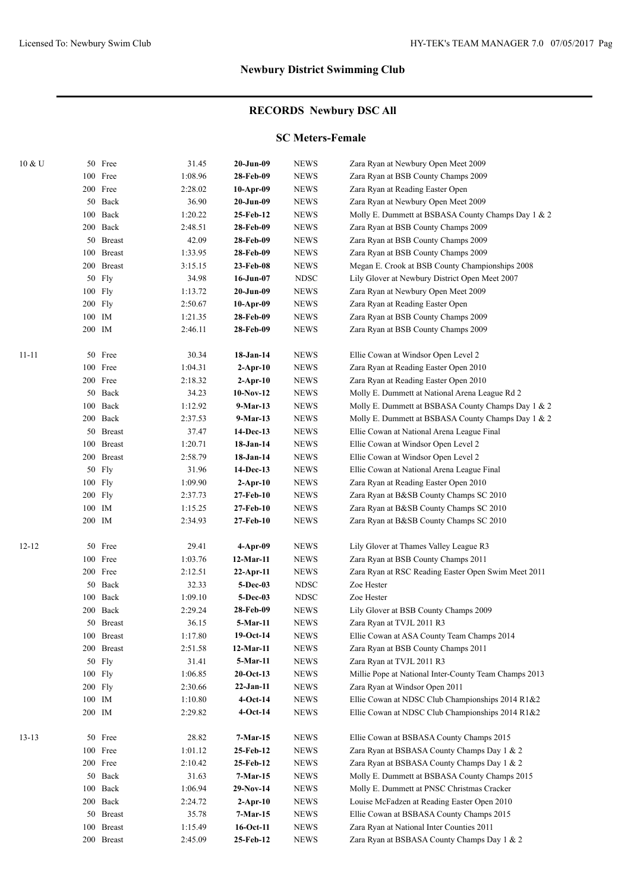# **RECORDS Newbury DSC All**

### **SC Meters-Female**

| 10 & U    |         | 50 Free    | 31.45   | $20-Jun-09$     | <b>NEWS</b> | Zara Ryan at Newbury Open Meet 2009                   |
|-----------|---------|------------|---------|-----------------|-------------|-------------------------------------------------------|
|           |         | 100 Free   | 1:08.96 | 28-Feb-09       | <b>NEWS</b> | Zara Ryan at BSB County Champs 2009                   |
|           |         | 200 Free   | 2:28.02 | 10-Apr-09       | <b>NEWS</b> | Zara Ryan at Reading Easter Open                      |
|           |         | 50 Back    | 36.90   | 20-Jun-09       | <b>NEWS</b> | Zara Ryan at Newbury Open Meet 2009                   |
|           |         | 100 Back   | 1:20.22 | 25-Feb-12       | <b>NEWS</b> | Molly E. Dummett at BSBASA County Champs Day 1 & 2    |
|           |         | 200 Back   | 2:48.51 | 28-Feb-09       | <b>NEWS</b> | Zara Ryan at BSB County Champs 2009                   |
|           |         | 50 Breast  | 42.09   | 28-Feb-09       | <b>NEWS</b> | Zara Ryan at BSB County Champs 2009                   |
|           |         | 100 Breast | 1:33.95 | 28-Feb-09       | <b>NEWS</b> | Zara Ryan at BSB County Champs 2009                   |
|           |         | 200 Breast | 3:15.15 | 23-Feb-08       | <b>NEWS</b> | Megan E. Crook at BSB County Championships 2008       |
|           |         | 50 Fly     | 34.98   | 16-Jun-07       | <b>NDSC</b> | Lily Glover at Newbury District Open Meet 2007        |
|           |         | $100$ Fly  | 1:13.72 | 20-Jun-09       | <b>NEWS</b> | Zara Ryan at Newbury Open Meet 2009                   |
|           |         | 200 Fly    | 2:50.67 | 10-Apr-09       | <b>NEWS</b> | Zara Ryan at Reading Easter Open                      |
|           | 100 IM  |            | 1:21.35 | 28-Feb-09       | <b>NEWS</b> | Zara Ryan at BSB County Champs 2009                   |
|           | 200 IM  |            | 2:46.11 | 28-Feb-09       | <b>NEWS</b> | Zara Ryan at BSB County Champs 2009                   |
|           |         |            |         |                 |             |                                                       |
| $11 - 11$ |         | 50 Free    | 30.34   | 18-Jan-14       | <b>NEWS</b> | Ellie Cowan at Windsor Open Level 2                   |
|           |         | 100 Free   | 1:04.31 | $2$ -Apr-10     | <b>NEWS</b> | Zara Ryan at Reading Easter Open 2010                 |
|           |         | 200 Free   | 2:18.32 | $2$ -Apr-10     | <b>NEWS</b> | Zara Ryan at Reading Easter Open 2010                 |
|           |         | 50 Back    | 34.23   | 10-Nov-12       | <b>NEWS</b> | Molly E. Dummett at National Arena League Rd 2        |
|           |         | 100 Back   | 1:12.92 | 9-Mar-13        | <b>NEWS</b> | Molly E. Dummett at BSBASA County Champs Day 1 & 2    |
|           |         | 200 Back   | 2:37.53 | 9-Mar-13        | <b>NEWS</b> | Molly E. Dummett at BSBASA County Champs Day 1 & 2    |
|           |         | 50 Breast  | 37.47   | 14-Dec-13       | <b>NEWS</b> | Ellie Cowan at National Arena League Final            |
|           |         | 100 Breast | 1:20.71 | 18-Jan-14       | <b>NEWS</b> | Ellie Cowan at Windsor Open Level 2                   |
|           |         | 200 Breast | 2:58.79 | 18-Jan-14       | <b>NEWS</b> | Ellie Cowan at Windsor Open Level 2                   |
|           |         | 50 Fly     | 31.96   | 14-Dec-13       | <b>NEWS</b> | Ellie Cowan at National Arena League Final            |
|           | 100 Fly |            | 1:09.90 | $2$ -Apr-10     | <b>NEWS</b> | Zara Ryan at Reading Easter Open 2010                 |
|           | 200 Fly |            | 2:37.73 | 27-Feb-10       | <b>NEWS</b> | Zara Ryan at B&SB County Champs SC 2010               |
|           | 100 IM  |            | 1:15.25 | 27-Feb-10       | <b>NEWS</b> | Zara Ryan at B&SB County Champs SC 2010               |
|           | 200 IM  |            | 2:34.93 | 27-Feb-10       | <b>NEWS</b> | Zara Ryan at B&SB County Champs SC 2010               |
|           |         |            |         |                 |             |                                                       |
| $12 - 12$ |         | 50 Free    | 29.41   | $4$ -Apr-09     | <b>NEWS</b> | Lily Glover at Thames Valley League R3                |
|           |         | 100 Free   | 1:03.76 | 12-Mar-11       | <b>NEWS</b> | Zara Ryan at BSB County Champs 2011                   |
|           |         | 200 Free   | 2:12.51 | $22$ -Apr-11    | <b>NEWS</b> | Zara Ryan at RSC Reading Easter Open Swim Meet 2011   |
|           |         | 50 Back    | 32.33   | <b>5-Dec-03</b> | <b>NDSC</b> | Zoe Hester                                            |
|           |         | 100 Back   | 1:09.10 | <b>5-Dec-03</b> | <b>NDSC</b> | Zoe Hester                                            |
|           |         | 200 Back   | 2:29.24 | 28-Feb-09       | <b>NEWS</b> | Lily Glover at BSB County Champs 2009                 |
|           |         | 50 Breast  | 36.15   | 5-Mar-11        | <b>NEWS</b> | Zara Ryan at TVJL 2011 R3                             |
|           |         | 100 Breast | 1:17.80 | 19-Oct-14       | <b>NEWS</b> | Ellie Cowan at ASA County Team Champs 2014            |
|           |         | 200 Breast | 2:51.58 | 12-Mar-11       | <b>NEWS</b> | Zara Ryan at BSB County Champs 2011                   |
|           | 50      | Fly        | 31.41   | 5-Mar-11        | <b>NEWS</b> | Zara Ryan at TVJL 2011 R3                             |
|           | 100 Fly |            | 1:06.85 | $20$ -Oct-13    | <b>NEWS</b> | Millie Pope at National Inter-County Team Champs 2013 |
|           | 200 Fly |            | 2:30.66 | $22-Jan-11$     | <b>NEWS</b> | Zara Ryan at Windsor Open 2011                        |
|           | 100 IM  |            | 1:10.80 | $4-Oct-14$      | <b>NEWS</b> | Ellie Cowan at NDSC Club Championships 2014 R1&2      |
|           | 200 IM  |            | 2:29.82 | $4-Oct-14$      | <b>NEWS</b> | Ellie Cowan at NDSC Club Championships 2014 R1&2      |
|           |         |            |         |                 |             |                                                       |
| $13-13$   | 50      | Free       | 28.82   | $7-Mar-15$      | <b>NEWS</b> | Ellie Cowan at BSBASA County Champs 2015              |
|           |         | 100 Free   | 1:01.12 | 25-Feb-12       | <b>NEWS</b> | Zara Ryan at BSBASA County Champs Day 1 & 2           |
|           |         | 200 Free   | 2:10.42 | 25-Feb-12       | <b>NEWS</b> | Zara Ryan at BSBASA County Champs Day 1 & 2           |
|           |         | 50 Back    | 31.63   | 7-Mar-15        | <b>NEWS</b> | Molly E. Dummett at BSBASA County Champs 2015         |
|           | 100     | Back       | 1:06.94 | 29-Nov-14       | <b>NEWS</b> | Molly E. Dummett at PNSC Christmas Cracker            |
|           |         | 200 Back   | 2:24.72 | $2$ -Apr-10     | <b>NEWS</b> | Louise McFadzen at Reading Easter Open 2010           |
|           |         | 50 Breast  | 35.78   | $7-Mar-15$      | <b>NEWS</b> | Ellie Cowan at BSBASA County Champs 2015              |
|           |         | 100 Breast | 1:15.49 | 16-Oct-11       | <b>NEWS</b> | Zara Ryan at National Inter Counties 2011             |
|           |         | 200 Breast | 2:45.09 | 25-Feb-12       | <b>NEWS</b> | Zara Ryan at BSBASA County Champs Day 1 & 2           |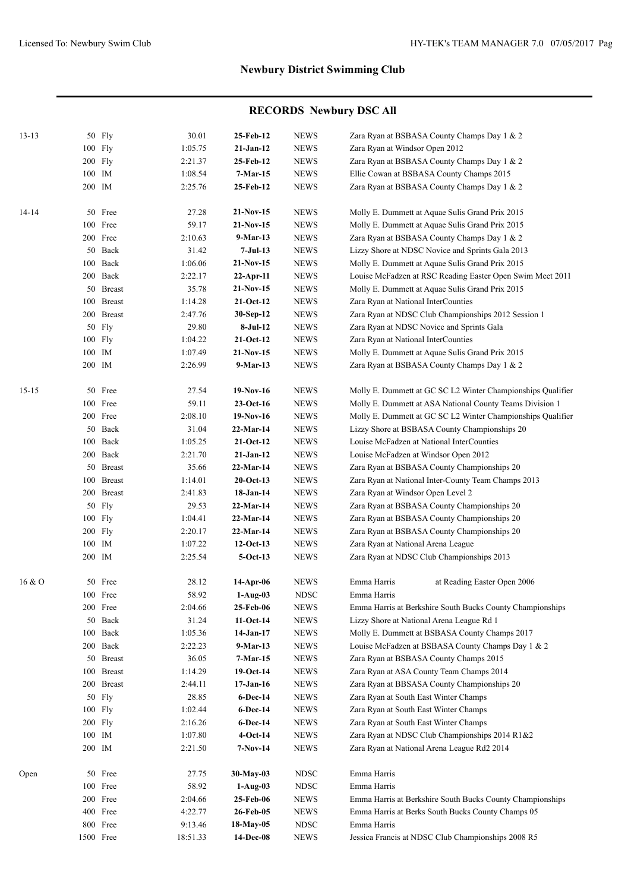| $13 - 13$ |        | 50 Fly              | 30.01          | 25-Feb-12               | <b>NEWS</b>                  | Zara Ryan at BSBASA County Champs Day 1 & 2                 |
|-----------|--------|---------------------|----------------|-------------------------|------------------------------|-------------------------------------------------------------|
|           |        | 100 Fly             | 1:05.75        | $21-Jan-12$             | <b>NEWS</b>                  | Zara Ryan at Windsor Open 2012                              |
|           |        | 200 Fly             | 2:21.37        | 25-Feb-12               | <b>NEWS</b>                  | Zara Ryan at BSBASA County Champs Day 1 & 2                 |
|           | 100 IM |                     | 1:08.54        | 7-Mar-15                | <b>NEWS</b>                  | Ellie Cowan at BSBASA County Champs 2015                    |
|           | 200 IM |                     | 2:25.76        | 25-Feb-12               | <b>NEWS</b>                  | Zara Ryan at BSBASA County Champs Day 1 & 2                 |
| $14-14$   |        | 50 Free             | 27.28          | $21-Nov-15$             | <b>NEWS</b>                  | Molly E. Dummett at Aquae Sulis Grand Prix 2015             |
|           |        | 100 Free            | 59.17          | 21-Nov-15               | <b>NEWS</b>                  | Molly E. Dummett at Aquae Sulis Grand Prix 2015             |
|           |        | 200 Free            | 2:10.63        | $9-Mar-13$              | <b>NEWS</b>                  | Zara Ryan at BSBASA County Champs Day 1 & 2                 |
|           |        | 50 Back             | 31.42          | 7-Jul-13                | <b>NEWS</b>                  | Lizzy Shore at NDSC Novice and Sprints Gala 2013            |
|           |        | 100 Back            | 1:06.06        | $21-Nov-15$             | <b>NEWS</b>                  | Molly E. Dummett at Aquae Sulis Grand Prix 2015             |
|           |        | 200 Back            | 2:22.17        | 22-Apr-11               | <b>NEWS</b>                  | Louise McFadzen at RSC Reading Easter Open Swim Meet 2011   |
|           |        | 50 Breast           | 35.78          | $21-Nov-15$             | <b>NEWS</b>                  | Molly E. Dummett at Aquae Sulis Grand Prix 2015             |
|           |        | 100 Breast          | 1:14.28        | $21-Oct-12$             | <b>NEWS</b>                  | Zara Ryan at National InterCounties                         |
|           |        | 200 Breast          | 2:47.76        | 30-Sep-12               | <b>NEWS</b>                  | Zara Ryan at NDSC Club Championships 2012 Session 1         |
|           |        | 50 Fly              | 29.80          | 8-Jul-12                | <b>NEWS</b>                  | Zara Ryan at NDSC Novice and Sprints Gala                   |
|           |        | 100 Fly             | 1:04.22        | $21-Oct-12$             | <b>NEWS</b>                  | Zara Ryan at National InterCounties                         |
|           | 100 IM |                     | 1:07.49        | $21-Nov-15$             | <b>NEWS</b>                  | Molly E. Dummett at Aquae Sulis Grand Prix 2015             |
|           | 200 IM |                     | 2:26.99        | 9-Mar-13                | <b>NEWS</b>                  | Zara Ryan at BSBASA County Champs Day 1 & 2                 |
|           |        |                     |                |                         |                              |                                                             |
| $15 - 15$ |        | 50 Free             | 27.54          | 19-Nov-16               | <b>NEWS</b>                  | Molly E. Dummett at GC SC L2 Winter Championships Qualifier |
|           |        | 100 Free            | 59.11          | $23-Oct-16$             | <b>NEWS</b>                  | Molly E. Dummett at ASA National County Teams Division 1    |
|           |        | 200 Free            | 2:08.10        | $19-Nov-16$             | <b>NEWS</b>                  | Molly E. Dummett at GC SC L2 Winter Championships Qualifier |
|           |        | 50 Back             | 31.04          | 22-Mar-14               | <b>NEWS</b>                  | Lizzy Shore at BSBASA County Championships 20               |
|           |        | 100 Back            | 1:05.25        | $21-Oct-12$             | <b>NEWS</b>                  | Louise McFadzen at National InterCounties                   |
|           |        | 200 Back            | 2:21.70        | $21-Jan-12$             | <b>NEWS</b>                  | Louise McFadzen at Windsor Open 2012                        |
|           |        | 50 Breast           | 35.66          | 22-Mar-14               | <b>NEWS</b>                  | Zara Ryan at BSBASA County Championships 20                 |
|           |        | 100 Breast          | 1:14.01        | $20$ -Oct-13            | <b>NEWS</b>                  | Zara Ryan at National Inter-County Team Champs 2013         |
|           |        | 200 Breast          | 2:41.83        | 18-Jan-14               | <b>NEWS</b>                  | Zara Ryan at Windsor Open Level 2                           |
|           |        | 50 Fly              | 29.53          | 22-Mar-14               | <b>NEWS</b>                  | Zara Ryan at BSBASA County Championships 20                 |
|           |        | 100 Fly             | 1:04.41        | 22-Mar-14               | <b>NEWS</b>                  | Zara Ryan at BSBASA County Championships 20                 |
|           |        | 200 Fly             | 2:20.17        | 22-Mar-14               | <b>NEWS</b>                  | Zara Ryan at BSBASA County Championships 20                 |
|           | 100 IM |                     | 1:07.22        | $12-Oct-13$             | <b>NEWS</b>                  | Zara Ryan at National Arena League                          |
|           | 200 IM |                     | 2:25.54        | $5-Oct-13$              | <b>NEWS</b>                  | Zara Ryan at NDSC Club Championships 2013                   |
| 16 & O    |        | 50 Free             | 28.12          | 14-Apr-06               | <b>NEWS</b>                  | Emma Harris<br>at Reading Easter Open 2006                  |
|           |        | 100 Free            | 58.92          | $1-Aug-03$              | <b>NDSC</b>                  | Emma Harris                                                 |
|           |        | 200 Free            | 2:04.66        | 25-Feb-06               | <b>NEWS</b>                  | Emma Harris at Berkshire South Bucks County Championships   |
|           |        | 50 Back             | 31.24          | $11-Oct-14$             | <b>NEWS</b>                  | Lizzy Shore at National Arena League Rd 1                   |
|           |        | 100 Back            | 1:05.36        | 14-Jan-17               | <b>NEWS</b>                  | Molly E. Dummett at BSBASA County Champs 2017               |
|           |        | 200 Back            | 2:22.23        | $9-Mar-13$              | <b>NEWS</b>                  | Louise McFadzen at BSBASA County Champs Day 1 & 2           |
|           |        | 50 Breast           | 36.05          | $7-Mar-15$              | <b>NEWS</b>                  | Zara Ryan at BSBASA County Champs 2015                      |
|           |        | 100 Breast          | 1:14.29        | $19-Oct-14$             | <b>NEWS</b>                  | Zara Ryan at ASA County Team Champs 2014                    |
|           |        | 200 Breast          | 2:44.11        | $17-Jan-16$             | <b>NEWS</b>                  | Zara Ryan at BBSASA County Championships 20                 |
|           | 50     | Fly                 | 28.85          | 6-Dec-14                | <b>NEWS</b>                  | Zara Ryan at South East Winter Champs                       |
|           |        | 100 Fly             | 1:02.44        | 6-Dec-14                | <b>NEWS</b>                  | Zara Ryan at South East Winter Champs                       |
|           |        | $200$ Fly           | 2:16.26        | 6-Dec-14                | <b>NEWS</b>                  | Zara Ryan at South East Winter Champs                       |
|           | 100 IM |                     | 1:07.80        | $4-Oct-14$              | <b>NEWS</b>                  | Zara Ryan at NDSC Club Championships 2014 R1&2              |
|           | 200 IM |                     | 2:21.50        | $7-Nov-14$              | <b>NEWS</b>                  | Zara Ryan at National Arena League Rd2 2014                 |
|           |        |                     |                |                         |                              |                                                             |
| Open      |        | 50 Free<br>100 Free | 27.75<br>58.92 | 30-May-03               | ${\rm NDSC}$<br>${\rm NDSC}$ | Emma Harris<br>Emma Harris                                  |
|           |        | 200 Free            | 2:04.66        | $1-Aug-03$<br>25-Feb-06 | <b>NEWS</b>                  | Emma Harris at Berkshire South Bucks County Championships   |
|           |        | 400 Free            | 4:22.77        | 26-Feb-05               | <b>NEWS</b>                  | Emma Harris at Berks South Bucks County Champs 05           |
|           |        | 800 Free            | 9:13.46        | 18-May-05               | <b>NDSC</b>                  | Emma Harris                                                 |
|           |        | 1500 Free           | 18:51.33       | 14-Dec-08               | <b>NEWS</b>                  | Jessica Francis at NDSC Club Championships 2008 R5          |
|           |        |                     |                |                         |                              |                                                             |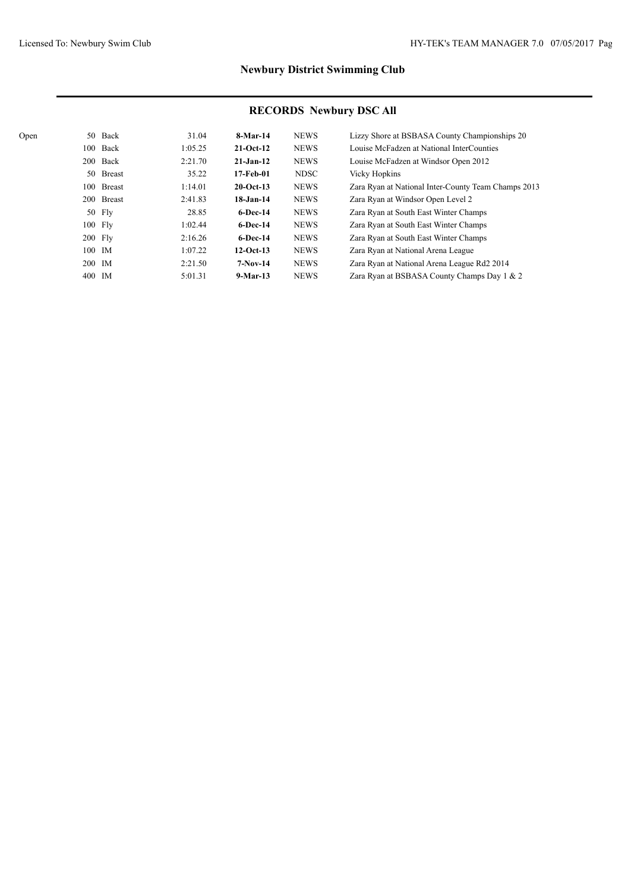| Open |           | 50 Back    | 31.04   | 8-Mar-14      | <b>NEWS</b> | Lizzy Shore at BSBASA County Championships 20       |
|------|-----------|------------|---------|---------------|-------------|-----------------------------------------------------|
|      |           | 100 Back   | 1:05.25 | $21-Oct-12$   | <b>NEWS</b> | Louise McFadzen at National InterCounties           |
|      |           | 200 Back   | 2:21.70 | $21 - Jan-12$ | <b>NEWS</b> | Louise McFadzen at Windsor Open 2012                |
|      |           | 50 Breast  | 35.22   | 17-Feb-01     | <b>NDSC</b> | Vicky Hopkins                                       |
|      |           | 100 Breast | 1:14.01 | $20$ -Oct-13  | <b>NEWS</b> | Zara Ryan at National Inter-County Team Champs 2013 |
|      |           | 200 Breast | 2:41.83 | $18$ -Jan-14  | <b>NEWS</b> | Zara Ryan at Windsor Open Level 2                   |
|      |           | $50$ Fly   | 28.85   | $6$ -Dec-14   | <b>NEWS</b> | Zara Ryan at South East Winter Champs               |
|      |           | 100 Fly    | 1:02.44 | $6$ -Dec-14   | <b>NEWS</b> | Zara Ryan at South East Winter Champs               |
|      | $200$ Fly |            | 2:16.26 | $6$ -Dec-14   | <b>NEWS</b> | Zara Ryan at South East Winter Champs               |
|      |           | 100 IM     | 1:07.22 | $12-Oct-13$   | <b>NEWS</b> | Zara Ryan at National Arena League                  |
|      | 200 IM    |            | 2:21.50 | $7-Nov-14$    | <b>NEWS</b> | Zara Ryan at National Arena League Rd2 2014         |
|      | 400 IM    |            | 5:01.31 | $9-Mar-13$    | <b>NEWS</b> | Zara Ryan at BSBASA County Champs Day 1 & 2         |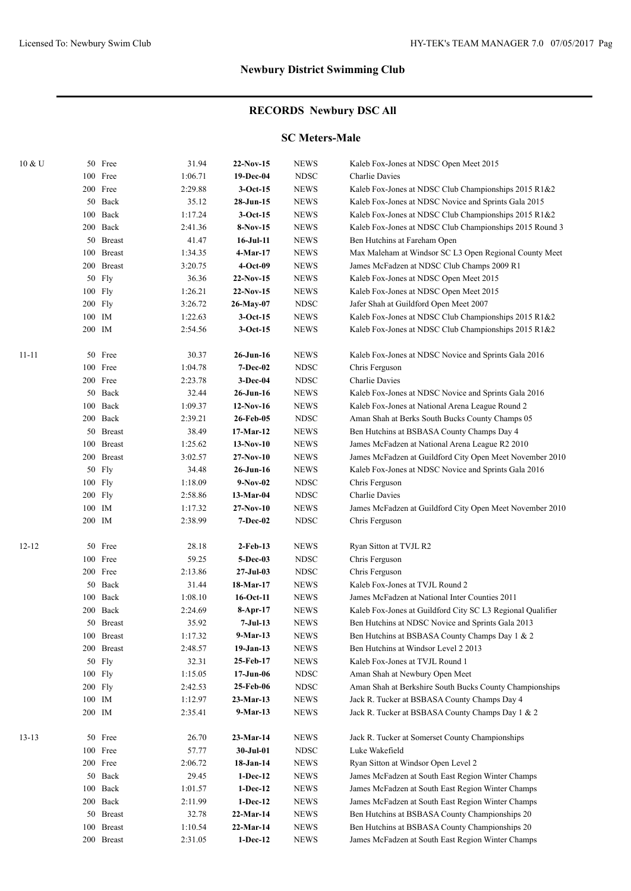# **RECORDS Newbury DSC All**

### **SC Meters-Male**

| 10 & U    |        | 50 Free      | 31.94   | $22-Nov-15$      | <b>NEWS</b> | Kaleb Fox-Jones at NDSC Open Meet 2015                     |
|-----------|--------|--------------|---------|------------------|-------------|------------------------------------------------------------|
|           |        | 100 Free     | 1:06.71 | 19-Dec-04        | <b>NDSC</b> | <b>Charlie Davies</b>                                      |
|           |        | 200 Free     | 2:29.88 | $3-Oct-15$       | <b>NEWS</b> | Kaleb Fox-Jones at NDSC Club Championships 2015 R1&2       |
|           |        | 50 Back      | 35.12   | 28-Jun-15        | <b>NEWS</b> | Kaleb Fox-Jones at NDSC Novice and Sprints Gala 2015       |
|           |        | 100 Back     | 1:17.24 | $3-Oct-15$       | <b>NEWS</b> | Kaleb Fox-Jones at NDSC Club Championships 2015 R1&2       |
|           |        | 200 Back     | 2:41.36 | $8-Nov-15$       | <b>NEWS</b> | Kaleb Fox-Jones at NDSC Club Championships 2015 Round 3    |
|           |        | 50 Breast    | 41.47   | $16$ -Jul- $11$  | <b>NEWS</b> | Ben Hutchins at Fareham Open                               |
|           |        | 100 Breast   | 1:34.35 | 4-Mar-17         | <b>NEWS</b> | Max Maleham at Windsor SC L3 Open Regional County Meet     |
|           |        | 200 Breast   | 3:20.75 | $4-Oct-09$       | <b>NEWS</b> | James McFadzen at NDSC Club Champs 2009 R1                 |
|           |        | 50 Fly       | 36.36   | $22-Nov-15$      | <b>NEWS</b> | Kaleb Fox-Jones at NDSC Open Meet 2015                     |
|           |        | 100 Fly      | 1:26.21 | $22-Nov-15$      | <b>NEWS</b> | Kaleb Fox-Jones at NDSC Open Meet 2015                     |
|           |        | 200 Fly      | 3:26.72 | 26-May-07        | <b>NDSC</b> | Jafer Shah at Guildford Open Meet 2007                     |
|           | 100 IM |              | 1:22.63 | $3-Oct-15$       | <b>NEWS</b> | Kaleb Fox-Jones at NDSC Club Championships 2015 R1&2       |
|           | 200 IM |              | 2:54.56 | $3-Oct-15$       | <b>NEWS</b> | Kaleb Fox-Jones at NDSC Club Championships 2015 R1&2       |
|           |        |              |         |                  |             |                                                            |
| $11 - 11$ |        | 50 Free      | 30.37   | 26-Jun-16        | <b>NEWS</b> | Kaleb Fox-Jones at NDSC Novice and Sprints Gala 2016       |
|           |        | 100 Free     | 1:04.78 | <b>7-Dec-02</b>  | <b>NDSC</b> | Chris Ferguson                                             |
|           |        | 200 Free     | 2:23.78 | 3-Dec-04         | <b>NDSC</b> | Charlie Davies                                             |
|           |        | 50 Back      | 32.44   | $26$ -Jun-16     | <b>NEWS</b> | Kaleb Fox-Jones at NDSC Novice and Sprints Gala 2016       |
|           |        | 100 Back     | 1:09.37 | $12-Nov-16$      | <b>NEWS</b> | Kaleb Fox-Jones at National Arena League Round 2           |
|           |        | 200 Back     | 2:39.21 | 26-Feb-05        | <b>NDSC</b> | Aman Shah at Berks South Bucks County Champs 05            |
|           |        | 50 Breast    | 38.49   | 17-Mar-12        | <b>NEWS</b> | Ben Hutchins at BSBASA County Champs Day 4                 |
|           |        | 100 Breast   | 1:25.62 | $13-Nov-10$      | <b>NEWS</b> | James McFadzen at National Arena League R2 2010            |
|           |        | 200 Breast   | 3:02.57 | $27-Nov-10$      | <b>NEWS</b> | James McFadzen at Guildford City Open Meet November 2010   |
|           |        | 50 Fly       | 34.48   | 26-Jun-16        | <b>NEWS</b> | Kaleb Fox-Jones at NDSC Novice and Sprints Gala 2016       |
|           |        | 100 Fly      | 1:18.09 | $9-Nov-02$       | <b>NDSC</b> | Chris Ferguson                                             |
|           |        | 200 Fly      | 2:58.86 | 13-Mar-04        | <b>NDSC</b> | Charlie Davies                                             |
|           | 100 IM |              | 1:17.32 | $27-Nov-10$      | <b>NEWS</b> | James McFadzen at Guildford City Open Meet November 2010   |
|           | 200 IM |              | 2:38.99 | <b>7-Dec-02</b>  | <b>NDSC</b> | Chris Ferguson                                             |
|           |        |              |         |                  |             |                                                            |
| $12 - 12$ |        | 50 Free      | 28.18   | $2$ -Feb-13      | <b>NEWS</b> | Ryan Sitton at TVJL R2                                     |
|           |        | 100 Free     | 59.25   | 5-Dec-03         | <b>NDSC</b> | Chris Ferguson                                             |
|           |        | 200 Free     | 2:13.86 | $27 -$ Jul $-03$ | <b>NDSC</b> | Chris Ferguson                                             |
|           |        | 50 Back      | 31.44   | 18-Mar-17        | <b>NEWS</b> | Kaleb Fox-Jones at TVJL Round 2                            |
|           |        | 100 Back     | 1:08.10 | 16-Oct-11        | <b>NEWS</b> | James McFadzen at National Inter Counties 2011             |
|           |        | 200 Back     | 2:24.69 | $8-Apr-17$       | <b>NEWS</b> | Kaleb Fox-Jones at Guildford City SC L3 Regional Qualifier |
|           |        | 50 Breast    | 35.92   | 7-Jul-13         | <b>NEWS</b> | Ben Hutchins at NDSC Novice and Sprints Gala 2013          |
|           |        | 100 Breast   | 1:17.32 | $9-Mar-13$       | <b>NEWS</b> | Ben Hutchins at BSBASA County Champs Day 1 & 2             |
|           |        | 200 Breast   | 2:48.57 | $19-Jan-13$      | <b>NEWS</b> | Ben Hutchins at Windsor Level 2 2013                       |
|           |        | 50 Fly       | 32.31   | 25-Feb-17        | <b>NEWS</b> | Kaleb Fox-Jones at TVJL Round 1                            |
|           |        | 100 Fly      | 1:15.05 | $17 - Jun-06$    | <b>NDSC</b> | Aman Shah at Newbury Open Meet                             |
|           |        | 200 Fly      | 2:42.53 | 25-Feb-06        | <b>NDSC</b> | Aman Shah at Berkshire South Bucks County Championships    |
|           | 100 IM |              | 1:12.97 | 23-Mar-13        | <b>NEWS</b> | Jack R. Tucker at BSBASA County Champs Day 4               |
|           | 200 IM |              | 2:35.41 | $9-Mar-13$       | <b>NEWS</b> | Jack R. Tucker at BSBASA County Champs Day 1 & 2           |
|           |        |              |         |                  |             |                                                            |
| $13 - 13$ |        | 50 Free      | 26.70   | 23-Mar-14        | <b>NEWS</b> | Jack R. Tucker at Somerset County Championships            |
|           |        | 100 Free     | 57.77   | 30-Jul-01        | <b>NDSC</b> | Luke Wakefield                                             |
|           |        | 200 Free     | 2:06.72 | $18-Jan-14$      | <b>NEWS</b> | Ryan Sitton at Windsor Open Level 2                        |
|           |        | 50 Back      | 29.45   | $1-Dec-12$       | <b>NEWS</b> | James McFadzen at South East Region Winter Champs          |
|           |        | $100\;$ Back | 1:01.57 | $1-Dec-12$       | <b>NEWS</b> | James McFadzen at South East Region Winter Champs          |
|           |        | 200 Back     | 2:11.99 | $1-Dec-12$       | <b>NEWS</b> | James McFadzen at South East Region Winter Champs          |
|           |        | 50 Breast    | 32.78   | $22-Mar-14$      | <b>NEWS</b> | Ben Hutchins at BSBASA County Championships 20             |
|           |        | 100 Breast   | 1:10.54 | 22-Mar-14        | <b>NEWS</b> | Ben Hutchins at BSBASA County Championships 20             |
|           |        | 200 Breast   | 2:31.05 | $1-Dec-12$       | <b>NEWS</b> | James McFadzen at South East Region Winter Champs          |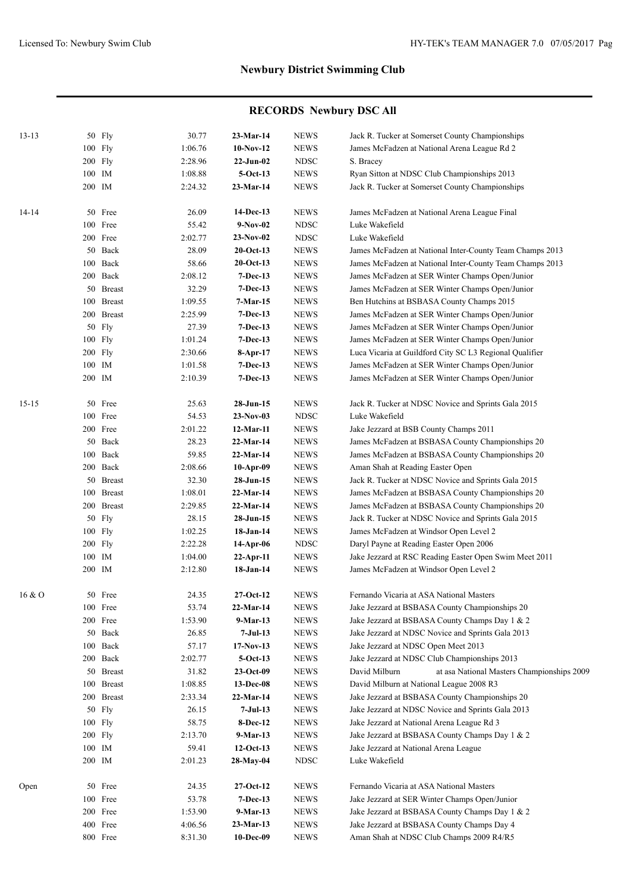| $13 - 13$ | 50 Fly     | 30.77   | $23-Mar-14$            | <b>NEWS</b>  | Jack R. Tucker at Somerset County Championships             |
|-----------|------------|---------|------------------------|--------------|-------------------------------------------------------------|
|           | 100 Fly    | 1:06.76 | $10-Nov-12$            | <b>NEWS</b>  | James McFadzen at National Arena League Rd 2                |
|           | 200 Fly    | 2:28.96 | $22-Jun-02$            | <b>NDSC</b>  | S. Bracey                                                   |
|           | 100 IM     | 1:08.88 | $5-Oct-13$             | <b>NEWS</b>  | Ryan Sitton at NDSC Club Championships 2013                 |
|           | 200 IM     | 2:24.32 | $23-Mar-14$            | <b>NEWS</b>  | Jack R. Tucker at Somerset County Championships             |
| $14 - 14$ | 50 Free    | 26.09   | 14-Dec-13              | <b>NEWS</b>  | James McFadzen at National Arena League Final               |
|           | 100 Free   | 55.42   | $9-Nov-02$             | <b>NDSC</b>  | Luke Wakefield                                              |
|           | 200 Free   | 2:02.77 | $23-Nov-02$            | <b>NDSC</b>  | Luke Wakefield                                              |
|           | 50 Back    | 28.09   | $20$ -Oct-13           | <b>NEWS</b>  | James McFadzen at National Inter-County Team Champs 2013    |
|           | 100 Back   | 58.66   | $20$ -Oct-13           | <b>NEWS</b>  | James McFadzen at National Inter-County Team Champs 2013    |
|           | 200 Back   | 2:08.12 | $7-Dec-13$             | <b>NEWS</b>  | James McFadzen at SER Winter Champs Open/Junior             |
|           | 50 Breast  | 32.29   | $7-Dec-13$             | <b>NEWS</b>  | James McFadzen at SER Winter Champs Open/Junior             |
|           | 100 Breast | 1:09.55 | 7-Mar-15               | <b>NEWS</b>  | Ben Hutchins at BSBASA County Champs 2015                   |
|           | 200 Breast | 2:25.99 | $7-Dec-13$             | <b>NEWS</b>  | James McFadzen at SER Winter Champs Open/Junior             |
|           | 50 Fly     | 27.39   | $7-Dec-13$             | <b>NEWS</b>  | James McFadzen at SER Winter Champs Open/Junior             |
|           | 100 Fly    | 1:01.24 | $7 - Dec-13$           | <b>NEWS</b>  | James McFadzen at SER Winter Champs Open/Junior             |
|           | 200 Fly    | 2:30.66 | 8-Apr-17               | <b>NEWS</b>  | Luca Vicaria at Guildford City SC L3 Regional Qualifier     |
|           | 100 IM     | 1:01.58 | $7-Dec-13$             | <b>NEWS</b>  | James McFadzen at SER Winter Champs Open/Junior             |
|           | 200 IM     | 2:10.39 | $7-Dec-13$             | <b>NEWS</b>  | James McFadzen at SER Winter Champs Open/Junior             |
| $15 - 15$ | 50 Free    | 25.63   | 28-Jun-15              | <b>NEWS</b>  | Jack R. Tucker at NDSC Novice and Sprints Gala 2015         |
|           | 100 Free   | 54.53   | $23-Nov-03$            | <b>NDSC</b>  | Luke Wakefield                                              |
|           | 200 Free   |         |                        |              |                                                             |
|           |            | 2:01.22 | 12-Mar-11              | <b>NEWS</b>  | Jake Jezzard at BSB County Champs 2011                      |
|           | 50 Back    | 28.23   | $22-Mar-14$            | <b>NEWS</b>  | James McFadzen at BSBASA County Championships 20            |
|           | 100 Back   | 59.85   | $22$ -Mar-14           | <b>NEWS</b>  | James McFadzen at BSBASA County Championships 20            |
|           | 200 Back   | 2:08.66 | $10-Apr-09$            | <b>NEWS</b>  | Aman Shah at Reading Easter Open                            |
|           | 50 Breast  | 32.30   | $28-Jun-15$            | <b>NEWS</b>  | Jack R. Tucker at NDSC Novice and Sprints Gala 2015         |
|           | 100 Breast | 1:08.01 | 22-Mar-14              | <b>NEWS</b>  | James McFadzen at BSBASA County Championships 20            |
|           | 200 Breast | 2:29.85 | 22-Mar-14<br>28-Jun-15 | <b>NEWS</b>  | James McFadzen at BSBASA County Championships 20            |
|           | 50 Fly     | 28.15   | 18-Jan-14              | <b>NEWS</b>  | Jack R. Tucker at NDSC Novice and Sprints Gala 2015         |
|           | $100$ Fly  | 1:02.25 |                        | <b>NEWS</b>  | James McFadzen at Windsor Open Level 2                      |
|           | $200$ Fly  | 2:22.28 | 14-Apr-06              | <b>NDSC</b>  | Daryl Payne at Reading Easter Open 2006                     |
|           | 100 IM     | 1:04.00 | $22$ -Apr-11           | <b>NEWS</b>  | Jake Jezzard at RSC Reading Easter Open Swim Meet 2011      |
|           | 200 IM     | 2:12.80 | 18-Jan-14              | <b>NEWS</b>  | James McFadzen at Windsor Open Level 2                      |
| 16 & O    | 50 Free    | 24.35   | $27-Oct-12$            | <b>NEWS</b>  | Fernando Vicaria at ASA National Masters                    |
|           | 100 Free   | 53.74   | 22-Mar-14              | <b>NEWS</b>  | Jake Jezzard at BSBASA County Championships 20              |
|           | 200 Free   | 1:53.90 | $9-Mar-13$             | <b>NEWS</b>  | Jake Jezzard at BSBASA County Champs Day 1 & 2              |
|           | 50 Back    | 26.85   | $7-Jul-13$             | <b>NEWS</b>  | Jake Jezzard at NDSC Novice and Sprints Gala 2013           |
|           | 100 Back   | 57.17   | $17-Nov-13$            | <b>NEWS</b>  | Jake Jezzard at NDSC Open Meet 2013                         |
|           | 200 Back   | 2:02.77 | $5-Oct-13$             | <b>NEWS</b>  | Jake Jezzard at NDSC Club Championships 2013                |
|           | 50 Breast  | 31.82   | $23-Oct-09$            | <b>NEWS</b>  | David Milburn<br>at asa National Masters Championships 2009 |
|           | 100 Breast | 1:08.85 | 13-Dec-08              | <b>NEWS</b>  | David Milburn at National League 2008 R3                    |
|           | 200 Breast | 2:33.34 | $22-Mar-14$            | <b>NEWS</b>  | Jake Jezzard at BSBASA County Championships 20              |
|           | 50 Fly     | 26.15   | $7-Jul-13$             | <b>NEWS</b>  | Jake Jezzard at NDSC Novice and Sprints Gala 2013           |
|           | 100 Fly    | 58.75   | 8-Dec-12               | <b>NEWS</b>  | Jake Jezzard at National Arena League Rd 3                  |
|           | 200 Fly    | 2:13.70 | $9-Mar-13$             | <b>NEWS</b>  | Jake Jezzard at BSBASA County Champs Day 1 & 2              |
|           | 100 IM     | 59.41   | $12-Oct-13$            | <b>NEWS</b>  | Jake Jezzard at National Arena League                       |
|           | 200 IM     | 2:01.23 | 28-May-04              | ${\rm NDSC}$ | Luke Wakefield                                              |
| Open      | 50 Free    | 24.35   | $27-Oct-12$            | <b>NEWS</b>  | Fernando Vicaria at ASA National Masters                    |
|           | 100 Free   | 53.78   | $7-Dec-13$             | <b>NEWS</b>  | Jake Jezzard at SER Winter Champs Open/Junior               |
|           | 200 Free   | 1:53.90 | $9-Mar-13$             | <b>NEWS</b>  | Jake Jezzard at BSBASA County Champs Day 1 & 2              |
|           | 400 Free   | 4:06.56 | $23-Mar-13$            | ${\rm NEWS}$ | Jake Jezzard at BSBASA County Champs Day 4                  |
|           | 800 Free   | 8:31.30 | 10-Dec-09              | <b>NEWS</b>  | Aman Shah at NDSC Club Champs 2009 R4/R5                    |